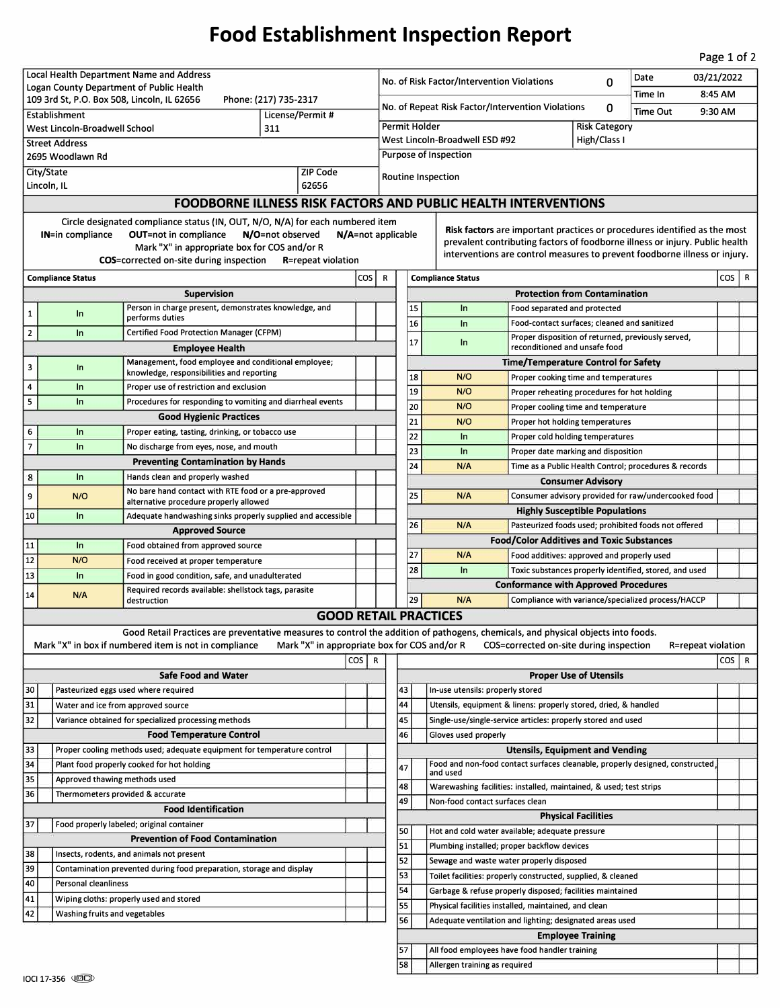## **Food Establishment Inspection Report**

Page 1 of 2

| Local Health Department Name and Address                                                                                      |                                                                                                                   |                                                                                                                                   |  |  |                                                                 | 03/21/2022<br>Date<br>No. of Risk Factor/Intervention Violations                                                                      |                                                                              |                                                                                |                                                                                                          |                          |  |  |     |              |  |
|-------------------------------------------------------------------------------------------------------------------------------|-------------------------------------------------------------------------------------------------------------------|-----------------------------------------------------------------------------------------------------------------------------------|--|--|-----------------------------------------------------------------|---------------------------------------------------------------------------------------------------------------------------------------|------------------------------------------------------------------------------|--------------------------------------------------------------------------------|----------------------------------------------------------------------------------------------------------|--------------------------|--|--|-----|--------------|--|
| Logan County Department of Public Health                                                                                      |                                                                                                                   |                                                                                                                                   |  |  |                                                                 |                                                                                                                                       | 0<br>Time In                                                                 |                                                                                |                                                                                                          |                          |  |  |     | 8:45 AM      |  |
| 109 3rd St, P.O. Box 508, Lincoln, IL 62656<br>Phone: (217) 735-2317<br>Establishment<br>License/Permit#                      |                                                                                                                   |                                                                                                                                   |  |  |                                                                 | No. of Repeat Risk Factor/Intervention Violations<br>0<br><b>Time Out</b><br>9:30 AM                                                  |                                                                              |                                                                                |                                                                                                          |                          |  |  |     |              |  |
| West Lincoln-Broadwell School<br>311                                                                                          |                                                                                                                   |                                                                                                                                   |  |  |                                                                 | Permit Holder<br><b>Risk Category</b>                                                                                                 |                                                                              |                                                                                |                                                                                                          |                          |  |  |     |              |  |
| <b>Street Address</b>                                                                                                         |                                                                                                                   |                                                                                                                                   |  |  |                                                                 | West Lincoln-Broadwell ESD #92<br>High/Class I                                                                                        |                                                                              |                                                                                |                                                                                                          |                          |  |  |     |              |  |
| 2695 Woodlawn Rd                                                                                                              |                                                                                                                   |                                                                                                                                   |  |  |                                                                 |                                                                                                                                       | Purpose of Inspection                                                        |                                                                                |                                                                                                          |                          |  |  |     |              |  |
| City/State<br>ZIP Code                                                                                                        |                                                                                                                   |                                                                                                                                   |  |  |                                                                 | Routine Inspection                                                                                                                    |                                                                              |                                                                                |                                                                                                          |                          |  |  |     |              |  |
| 62656<br>Lincoln, IL                                                                                                          |                                                                                                                   |                                                                                                                                   |  |  |                                                                 |                                                                                                                                       |                                                                              |                                                                                |                                                                                                          |                          |  |  |     |              |  |
| <b>FOODBORNE ILLNESS RISK FACTORS AND PUBLIC HEALTH INTERVENTIONS</b>                                                         |                                                                                                                   |                                                                                                                                   |  |  |                                                                 |                                                                                                                                       |                                                                              |                                                                                |                                                                                                          |                          |  |  |     |              |  |
| Circle designated compliance status (IN, OUT, N/O, N/A) for each numbered item                                                |                                                                                                                   |                                                                                                                                   |  |  |                                                                 |                                                                                                                                       | Risk factors are important practices or procedures identified as the most    |                                                                                |                                                                                                          |                          |  |  |     |              |  |
| <b>OUT=not in compliance</b><br>N/O=not observed<br><b>IN=in compliance</b><br>$N/A$ =not applicable                          |                                                                                                                   |                                                                                                                                   |  |  |                                                                 |                                                                                                                                       | prevalent contributing factors of foodborne illness or injury. Public health |                                                                                |                                                                                                          |                          |  |  |     |              |  |
| Mark "X" in appropriate box for COS and/or R<br><b>COS</b> =corrected on-site during inspection<br><b>R</b> =repeat violation |                                                                                                                   |                                                                                                                                   |  |  |                                                                 |                                                                                                                                       | interventions are control measures to prevent foodborne illness or injury.   |                                                                                |                                                                                                          |                          |  |  |     |              |  |
| cos <sup>1</sup><br><b>Compliance Status</b>                                                                                  |                                                                                                                   |                                                                                                                                   |  |  |                                                                 |                                                                                                                                       |                                                                              | <b>Compliance Status</b>                                                       |                                                                                                          |                          |  |  | cos | $\mathsf{R}$ |  |
|                                                                                                                               |                                                                                                                   | <b>Supervision</b>                                                                                                                |  |  | R                                                               | <b>Protection from Contamination</b>                                                                                                  |                                                                              |                                                                                |                                                                                                          |                          |  |  |     |              |  |
| $\mathbf{1}$                                                                                                                  | In                                                                                                                | Person in charge present, demonstrates knowledge, and                                                                             |  |  |                                                                 |                                                                                                                                       | 15                                                                           | In                                                                             | Food separated and protected                                                                             |                          |  |  |     |              |  |
|                                                                                                                               |                                                                                                                   | performs duties                                                                                                                   |  |  |                                                                 |                                                                                                                                       | 16                                                                           | In                                                                             | Food-contact surfaces; cleaned and sanitized                                                             |                          |  |  |     |              |  |
| $\overline{2}$                                                                                                                | In                                                                                                                | Certified Food Protection Manager (CFPM)                                                                                          |  |  |                                                                 |                                                                                                                                       | 17                                                                           | In                                                                             | Proper disposition of returned, previously served,                                                       |                          |  |  |     |              |  |
|                                                                                                                               |                                                                                                                   | <b>Employee Health</b><br>Management, food employee and conditional employee;                                                     |  |  |                                                                 | reconditioned and unsafe food<br><b>Time/Temperature Control for Safety</b>                                                           |                                                                              |                                                                                |                                                                                                          |                          |  |  |     |              |  |
| $\overline{\mathbf{3}}$                                                                                                       | In                                                                                                                | knowledge, responsibilities and reporting                                                                                         |  |  |                                                                 | 18<br>N/O<br>Proper cooking time and temperatures                                                                                     |                                                                              |                                                                                |                                                                                                          |                          |  |  |     |              |  |
| 4                                                                                                                             | In                                                                                                                | Proper use of restriction and exclusion                                                                                           |  |  |                                                                 |                                                                                                                                       | 19                                                                           | N/O                                                                            | Proper reheating procedures for hot holding                                                              |                          |  |  |     |              |  |
| 5                                                                                                                             | $\ln$                                                                                                             | Procedures for responding to vomiting and diarrheal events                                                                        |  |  |                                                                 |                                                                                                                                       | 20                                                                           | N/O                                                                            | Proper cooling time and temperature                                                                      |                          |  |  |     |              |  |
|                                                                                                                               |                                                                                                                   | <b>Good Hygienic Practices</b>                                                                                                    |  |  |                                                                 |                                                                                                                                       | 21                                                                           | N/O                                                                            | Proper hot holding temperatures                                                                          |                          |  |  |     |              |  |
| 6                                                                                                                             | In                                                                                                                | Proper eating, tasting, drinking, or tobacco use                                                                                  |  |  |                                                                 |                                                                                                                                       | 22                                                                           | In                                                                             | Proper cold holding temperatures                                                                         |                          |  |  |     |              |  |
| $\overline{7}$                                                                                                                | ln                                                                                                                | No discharge from eyes, nose, and mouth                                                                                           |  |  |                                                                 |                                                                                                                                       | 23                                                                           | In                                                                             | Proper date marking and disposition                                                                      |                          |  |  |     |              |  |
| 8                                                                                                                             | ln                                                                                                                | <b>Preventing Contamination by Hands</b>                                                                                          |  |  |                                                                 |                                                                                                                                       | 24                                                                           | N/A                                                                            | Time as a Public Health Control; procedures & records                                                    |                          |  |  |     |              |  |
|                                                                                                                               |                                                                                                                   | Hands clean and properly washed<br>No bare hand contact with RTE food or a pre-approved                                           |  |  |                                                                 |                                                                                                                                       |                                                                              |                                                                                |                                                                                                          | <b>Consumer Advisory</b> |  |  |     |              |  |
| 9                                                                                                                             | N/O                                                                                                               | alternative procedure properly allowed                                                                                            |  |  |                                                                 |                                                                                                                                       | 25                                                                           | N/A                                                                            | Consumer advisory provided for raw/undercooked food                                                      |                          |  |  |     |              |  |
| 10                                                                                                                            | In                                                                                                                | Adequate handwashing sinks properly supplied and accessible                                                                       |  |  |                                                                 |                                                                                                                                       | 26                                                                           |                                                                                | <b>Highly Susceptible Populations</b>                                                                    |                          |  |  |     |              |  |
|                                                                                                                               |                                                                                                                   | <b>Approved Source</b>                                                                                                            |  |  |                                                                 |                                                                                                                                       |                                                                              | N/A                                                                            | Pasteurized foods used; prohibited foods not offered<br><b>Food/Color Additives and Toxic Substances</b> |                          |  |  |     |              |  |
| 11                                                                                                                            | In                                                                                                                | Food obtained from approved source                                                                                                |  |  |                                                                 |                                                                                                                                       | 27                                                                           | N/A                                                                            | Food additives: approved and properly used                                                               |                          |  |  |     |              |  |
| 12                                                                                                                            | N/O                                                                                                               | Food received at proper temperature                                                                                               |  |  |                                                                 |                                                                                                                                       | 28                                                                           | In                                                                             | Toxic substances properly identified, stored, and used                                                   |                          |  |  |     |              |  |
| 13                                                                                                                            | In                                                                                                                | Food in good condition, safe, and unadulterated                                                                                   |  |  |                                                                 |                                                                                                                                       |                                                                              |                                                                                | <b>Conformance with Approved Procedures</b>                                                              |                          |  |  |     |              |  |
| 14                                                                                                                            | Required records available: shellstock tags, parasite<br>N/A<br>destruction                                       |                                                                                                                                   |  |  |                                                                 |                                                                                                                                       | 29                                                                           | N/A                                                                            | Compliance with variance/specialized process/HACCP                                                       |                          |  |  |     |              |  |
|                                                                                                                               |                                                                                                                   |                                                                                                                                   |  |  |                                                                 |                                                                                                                                       |                                                                              | <b>GOOD RETAIL PRACTICES</b>                                                   |                                                                                                          |                          |  |  |     |              |  |
|                                                                                                                               |                                                                                                                   | Good Retail Practices are preventative measures to control the addition of pathogens, chemicals, and physical objects into foods. |  |  |                                                                 |                                                                                                                                       |                                                                              |                                                                                |                                                                                                          |                          |  |  |     |              |  |
| Mark "X" in appropriate box for COS and/or R<br>Mark "X" in box if numbered item is not in compliance                         |                                                                                                                   |                                                                                                                                   |  |  | COS=corrected on-site during inspection<br>R=repeat violation   |                                                                                                                                       |                                                                              |                                                                                |                                                                                                          |                          |  |  |     |              |  |
| cos I<br>R                                                                                                                    |                                                                                                                   |                                                                                                                                   |  |  |                                                                 | $\cos   R$                                                                                                                            |                                                                              |                                                                                |                                                                                                          |                          |  |  |     |              |  |
|                                                                                                                               |                                                                                                                   | <b>Safe Food and Water</b>                                                                                                        |  |  |                                                                 | <b>Proper Use of Utensils</b><br>43<br>In-use utensils: properly stored                                                               |                                                                              |                                                                                |                                                                                                          |                          |  |  |     |              |  |
| 30<br>31                                                                                                                      | Pasteurized eggs used where required<br>Water and ice from approved source                                        |                                                                                                                                   |  |  |                                                                 | 44                                                                                                                                    |                                                                              |                                                                                |                                                                                                          |                          |  |  |     |              |  |
| 32                                                                                                                            | Variance obtained for specialized processing methods                                                              |                                                                                                                                   |  |  |                                                                 | Utensils, equipment & linens: properly stored, dried, & handled<br>45<br>Single-use/single-service articles: properly stored and used |                                                                              |                                                                                |                                                                                                          |                          |  |  |     |              |  |
| <b>Food Temperature Control</b>                                                                                               |                                                                                                                   |                                                                                                                                   |  |  |                                                                 | 46                                                                                                                                    |                                                                              | Gloves used properly                                                           |                                                                                                          |                          |  |  |     |              |  |
| 33                                                                                                                            | Proper cooling methods used; adequate equipment for temperature control                                           |                                                                                                                                   |  |  |                                                                 |                                                                                                                                       |                                                                              |                                                                                | <b>Utensils, Equipment and Vending</b>                                                                   |                          |  |  |     |              |  |
| 34                                                                                                                            | Plant food properly cooked for hot holding                                                                        |                                                                                                                                   |  |  |                                                                 | 47                                                                                                                                    |                                                                              | Food and non-food contact surfaces cleanable, properly designed, constructed,  |                                                                                                          |                          |  |  |     |              |  |
| 35                                                                                                                            |                                                                                                                   | Approved thawing methods used                                                                                                     |  |  |                                                                 | 48                                                                                                                                    |                                                                              | and used<br>Warewashing facilities: installed, maintained, & used; test strips |                                                                                                          |                          |  |  |     |              |  |
| 36<br>Thermometers provided & accurate                                                                                        |                                                                                                                   |                                                                                                                                   |  |  |                                                                 | 49                                                                                                                                    |                                                                              | Non-food contact surfaces clean                                                |                                                                                                          |                          |  |  |     |              |  |
| <b>Food Identification</b>                                                                                                    |                                                                                                                   |                                                                                                                                   |  |  |                                                                 |                                                                                                                                       |                                                                              |                                                                                | <b>Physical Facilities</b>                                                                               |                          |  |  |     |              |  |
| 37                                                                                                                            | Food properly labeled; original container                                                                         |                                                                                                                                   |  |  |                                                                 | 50<br>Hot and cold water available; adequate pressure                                                                                 |                                                                              |                                                                                |                                                                                                          |                          |  |  |     |              |  |
| 38                                                                                                                            | <b>Prevention of Food Contamination</b>                                                                           |                                                                                                                                   |  |  |                                                                 | 51                                                                                                                                    |                                                                              | Plumbing installed; proper backflow devices                                    |                                                                                                          |                          |  |  |     |              |  |
| 39                                                                                                                            | Insects, rodents, and animals not present<br>Contamination prevented during food preparation, storage and display |                                                                                                                                   |  |  |                                                                 | 52                                                                                                                                    |                                                                              | Sewage and waste water properly disposed                                       |                                                                                                          |                          |  |  |     |              |  |
| 40                                                                                                                            | Personal cleanliness                                                                                              |                                                                                                                                   |  |  |                                                                 | 53<br>Toilet facilities: properly constructed, supplied, & cleaned                                                                    |                                                                              |                                                                                |                                                                                                          |                          |  |  |     |              |  |
| 41<br>Wiping cloths: properly used and stored                                                                                 |                                                                                                                   |                                                                                                                                   |  |  | 54<br>Garbage & refuse properly disposed; facilities maintained |                                                                                                                                       |                                                                              |                                                                                |                                                                                                          |                          |  |  |     |              |  |
| 42<br>Washing fruits and vegetables                                                                                           |                                                                                                                   |                                                                                                                                   |  |  | 55<br>56                                                        |                                                                                                                                       | Physical facilities installed, maintained, and clean                         |                                                                                |                                                                                                          |                          |  |  |     |              |  |
|                                                                                                                               |                                                                                                                   |                                                                                                                                   |  |  |                                                                 |                                                                                                                                       |                                                                              | Adequate ventilation and lighting; designated areas used                       | <b>Employee Training</b>                                                                                 |                          |  |  |     |              |  |
|                                                                                                                               |                                                                                                                   |                                                                                                                                   |  |  |                                                                 | 57                                                                                                                                    |                                                                              | All food employees have food handler training                                  |                                                                                                          |                          |  |  |     |              |  |
|                                                                                                                               |                                                                                                                   |                                                                                                                                   |  |  |                                                                 |                                                                                                                                       | 58                                                                           | Allergen training as required                                                  |                                                                                                          |                          |  |  |     |              |  |